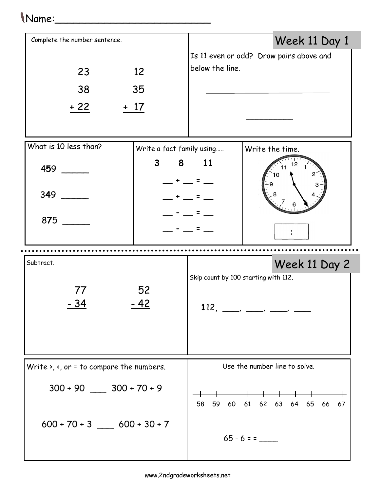## Name:\_\_\_\_\_\_\_\_\_\_\_\_\_\_\_\_\_\_\_\_\_\_\_\_\_

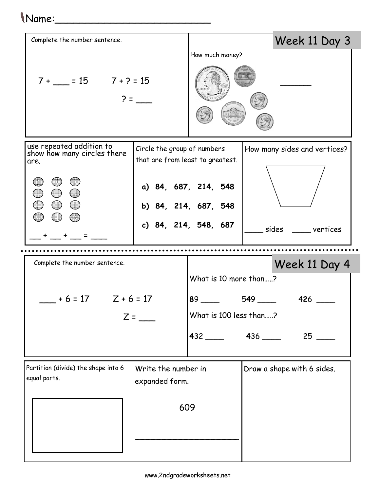| (Name:                                                                                              |                                                                 |                                                                  |                              |                            |
|-----------------------------------------------------------------------------------------------------|-----------------------------------------------------------------|------------------------------------------------------------------|------------------------------|----------------------------|
| Complete the number sentence.                                                                       |                                                                 |                                                                  |                              | Week 11 Day 3              |
|                                                                                                     |                                                                 | How much money?                                                  |                              |                            |
| $7 + 15 = 7 + 2 = 15$<br>$2 =$                                                                      |                                                                 |                                                                  |                              |                            |
| use repeated addition to<br>show how many circles there<br>are.                                     | Circle the group of numbers<br>that are from least to greatest. |                                                                  | How many sides and vertices? |                            |
| ৻<br>$\bigcirc$ $\bigcirc$                                                                          |                                                                 | a) 84, 687, 214, 548<br>b) 84, 214, 687, 548                     |                              |                            |
|                                                                                                     |                                                                 | c) 84, 214, 548, 687                                             |                              | sides vertices             |
|                                                                                                     |                                                                 |                                                                  |                              |                            |
| Complete the number sentence.                                                                       |                                                                 | Week 11 Day 4<br>What is 10 more than?                           |                              |                            |
| $+6 = 17$ $Z + 6 = 17$<br>$Z =$                                                                     |                                                                 | $89 \hspace{0.1cm} 549 \hspace{0.1cm}$<br>What is 100 less than? |                              |                            |
|                                                                                                     |                                                                 | 432 436                                                          |                              | $25$ $-$                   |
| Partition (divide) the shape into 6<br>Write the number in<br>equal parts.<br>expanded form.<br>609 |                                                                 |                                                                  |                              | Draw a shape with 6 sides. |
|                                                                                                     |                                                                 |                                                                  |                              |                            |